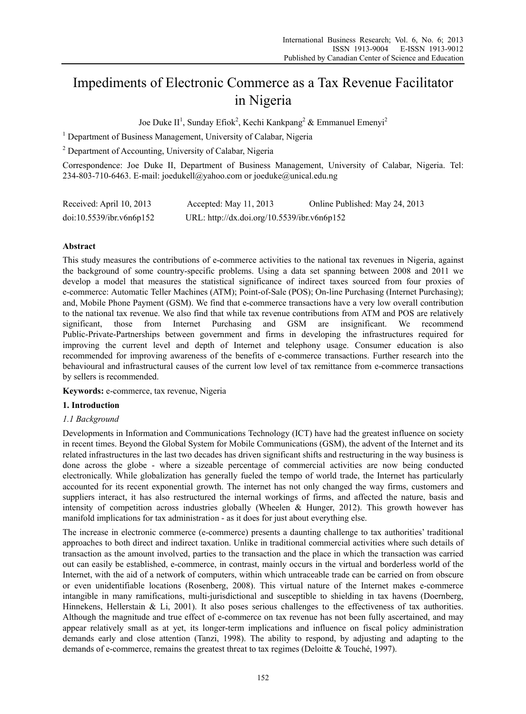# Impediments of Electronic Commerce as a Tax Revenue Facilitator in Nigeria

Joe Duke II<sup>1</sup>, Sunday Efiok<sup>2</sup>, Kechi Kankpang<sup>2</sup> & Emmanuel Emenyi<sup>2</sup>

<sup>1</sup> Department of Business Management, University of Calabar, Nigeria

<sup>2</sup> Department of Accounting, University of Calabar, Nigeria

Correspondence: Joe Duke II, Department of Business Management, University of Calabar, Nigeria. Tel: 234-803-710-6463. E-mail: joedukell@yahoo.com or joeduke@unical.edu.ng

| Received: April 10, 2013 | Accepted: May $11, 2013$                    | Online Published: May 24, 2013 |
|--------------------------|---------------------------------------------|--------------------------------|
| doi:10.5539/ibr.v6n6p152 | URL: http://dx.doi.org/10.5539/ibr.v6n6p152 |                                |

# **Abstract**

This study measures the contributions of e-commerce activities to the national tax revenues in Nigeria, against the background of some country-specific problems. Using a data set spanning between 2008 and 2011 we develop a model that measures the statistical significance of indirect taxes sourced from four proxies of e-commerce: Automatic Teller Machines (ATM); Point-of-Sale (POS); On-line Purchasing (Internet Purchasing); and, Mobile Phone Payment (GSM). We find that e-commerce transactions have a very low overall contribution to the national tax revenue. We also find that while tax revenue contributions from ATM and POS are relatively significant, those from Internet Purchasing and GSM are insignificant. We recommend Public-Private-Partnerships between government and firms in developing the infrastructures required for improving the current level and depth of Internet and telephony usage. Consumer education is also recommended for improving awareness of the benefits of e-commerce transactions. Further research into the behavioural and infrastructural causes of the current low level of tax remittance from e-commerce transactions by sellers is recommended.

**Keywords:** e-commerce, tax revenue, Nigeria

# **1. Introduction**

# *1.1 Background*

Developments in Information and Communications Technology (ICT) have had the greatest influence on society in recent times. Beyond the Global System for Mobile Communications (GSM), the advent of the Internet and its related infrastructures in the last two decades has driven significant shifts and restructuring in the way business is done across the globe - where a sizeable percentage of commercial activities are now being conducted electronically. While globalization has generally fueled the tempo of world trade, the Internet has particularly accounted for its recent exponential growth. The internet has not only changed the way firms, customers and suppliers interact, it has also restructured the internal workings of firms, and affected the nature, basis and intensity of competition across industries globally (Wheelen & Hunger, 2012). This growth however has manifold implications for tax administration - as it does for just about everything else.

The increase in electronic commerce (e-commerce) presents a daunting challenge to tax authorities' traditional approaches to both direct and indirect taxation. Unlike in traditional commercial activities where such details of transaction as the amount involved, parties to the transaction and the place in which the transaction was carried out can easily be established, e-commerce, in contrast, mainly occurs in the virtual and borderless world of the Internet, with the aid of a network of computers, within which untraceable trade can be carried on from obscure or even unidentifiable locations (Rosenberg, 2008). This virtual nature of the Internet makes e-commerce intangible in many ramifications, multi-jurisdictional and susceptible to shielding in tax havens (Doernberg, Hinnekens, Hellerstain & Li, 2001). It also poses serious challenges to the effectiveness of tax authorities. Although the magnitude and true effect of e-commerce on tax revenue has not been fully ascertained, and may appear relatively small as at yet, its longer-term implications and influence on fiscal policy administration demands early and close attention (Tanzi, 1998). The ability to respond, by adjusting and adapting to the demands of e-commerce, remains the greatest threat to tax regimes (Deloitte & Touché, 1997).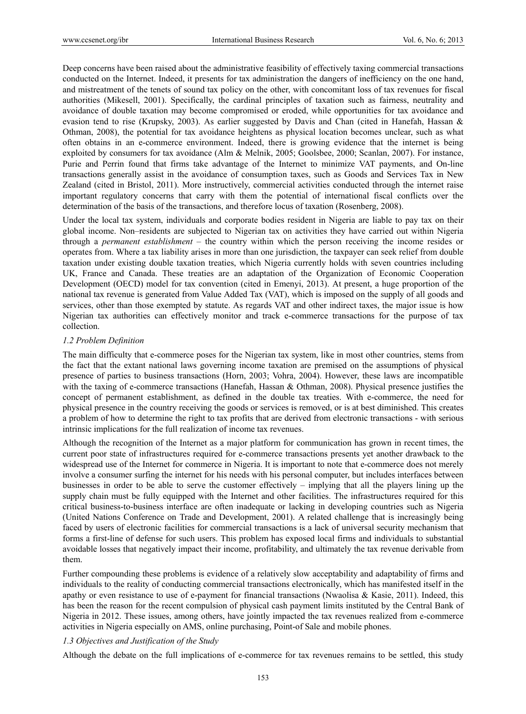Deep concerns have been raised about the administrative feasibility of effectively taxing commercial transactions conducted on the Internet. Indeed, it presents for tax administration the dangers of inefficiency on the one hand, and mistreatment of the tenets of sound tax policy on the other, with concomitant loss of tax revenues for fiscal authorities (Mikesell, 2001). Specifically, the cardinal principles of taxation such as fairness, neutrality and avoidance of double taxation may become compromised or eroded, while opportunities for tax avoidance and evasion tend to rise (Krupsky, 2003). As earlier suggested by Davis and Chan (cited in Hanefah, Hassan & Othman, 2008), the potential for tax avoidance heightens as physical location becomes unclear, such as what often obtains in an e-commerce environment. Indeed, there is growing evidence that the internet is being exploited by consumers for tax avoidance (Alm & Melnik, 2005; Goolsbee, 2000; Scanlan, 2007). For instance, Purie and Perrin found that firms take advantage of the Internet to minimize VAT payments, and On-line transactions generally assist in the avoidance of consumption taxes, such as Goods and Services Tax in New Zealand (cited in Bristol, 2011). More instructively, commercial activities conducted through the internet raise important regulatory concerns that carry with them the potential of international fiscal conflicts over the determination of the basis of the transactions, and therefore locus of taxation (Rosenberg, 2008).

Under the local tax system, individuals and corporate bodies resident in Nigeria are liable to pay tax on their global income. Non–residents are subjected to Nigerian tax on activities they have carried out within Nigeria through a *permanent establishment* – the country within which the person receiving the income resides or operates from. Where a tax liability arises in more than one jurisdiction, the taxpayer can seek relief from double taxation under existing double taxation treaties, which Nigeria currently holds with seven countries including UK, France and Canada. These treaties are an adaptation of the Organization of Economic Cooperation Development (OECD) model for tax convention (cited in Emenyi, 2013). At present, a huge proportion of the national tax revenue is generated from Value Added Tax (VAT), which is imposed on the supply of all goods and services, other than those exempted by statute. As regards VAT and other indirect taxes, the major issue is how Nigerian tax authorities can effectively monitor and track e-commerce transactions for the purpose of tax collection.

# *1.2 Problem Definition*

The main difficulty that e-commerce poses for the Nigerian tax system, like in most other countries, stems from the fact that the extant national laws governing income taxation are premised on the assumptions of physical presence of parties to business transactions (Horn, 2003; Vohra, 2004). However, these laws are incompatible with the taxing of e-commerce transactions (Hanefah, Hassan & Othman, 2008). Physical presence justifies the concept of permanent establishment, as defined in the double tax treaties. With e-commerce, the need for physical presence in the country receiving the goods or services is removed, or is at best diminished. This creates a problem of how to determine the right to tax profits that are derived from electronic transactions - with serious intrinsic implications for the full realization of income tax revenues.

Although the recognition of the Internet as a major platform for communication has grown in recent times, the current poor state of infrastructures required for e-commerce transactions presents yet another drawback to the widespread use of the Internet for commerce in Nigeria. It is important to note that e-commerce does not merely involve a consumer surfing the internet for his needs with his personal computer, but includes interfaces between businesses in order to be able to serve the customer effectively – implying that all the players lining up the supply chain must be fully equipped with the Internet and other facilities. The infrastructures required for this critical business-to-business interface are often inadequate or lacking in developing countries such as Nigeria (United Nations Conference on Trade and Development, 2001). A related challenge that is increasingly being faced by users of electronic facilities for commercial transactions is a lack of universal security mechanism that forms a first-line of defense for such users. This problem has exposed local firms and individuals to substantial avoidable losses that negatively impact their income, profitability, and ultimately the tax revenue derivable from them.

Further compounding these problems is evidence of a relatively slow acceptability and adaptability of firms and individuals to the reality of conducting commercial transactions electronically, which has manifested itself in the apathy or even resistance to use of e-payment for financial transactions (Nwaolisa & Kasie, 2011). Indeed, this has been the reason for the recent compulsion of physical cash payment limits instituted by the Central Bank of Nigeria in 2012. These issues, among others, have jointly impacted the tax revenues realized from e-commerce activities in Nigeria especially on AMS, online purchasing, Point-of Sale and mobile phones.

# *1.3 Objectives and Justification of the Study*

Although the debate on the full implications of e-commerce for tax revenues remains to be settled, this study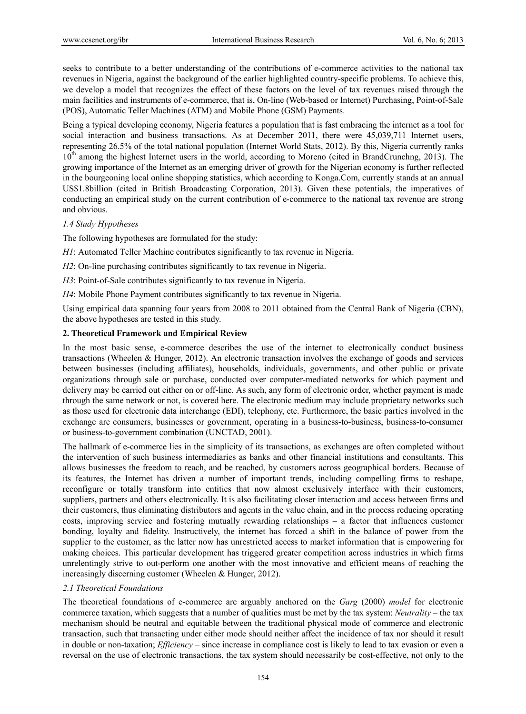seeks to contribute to a better understanding of the contributions of e-commerce activities to the national tax revenues in Nigeria, against the background of the earlier highlighted country-specific problems. To achieve this, we develop a model that recognizes the effect of these factors on the level of tax revenues raised through the main facilities and instruments of e-commerce, that is, On-line (Web-based or Internet) Purchasing, Point-of-Sale (POS), Automatic Teller Machines (ATM) and Mobile Phone (GSM) Payments.

Being a typical developing economy, Nigeria features a population that is fast embracing the internet as a tool for social interaction and business transactions. As at December 2011, there were 45,039,711 Internet users, representing 26.5% of the total national population (Internet World Stats, 2012). By this, Nigeria currently ranks  $10<sup>th</sup>$  among the highest Internet users in the world, according to Moreno (cited in BrandCrunchng, 2013). The growing importance of the Internet as an emerging driver of growth for the Nigerian economy is further reflected in the bourgeoning local online shopping statistics, which according to Konga.Com, currently stands at an annual US\$1.8billion (cited in British Broadcasting Corporation, 2013). Given these potentials, the imperatives of conducting an empirical study on the current contribution of e-commerce to the national tax revenue are strong and obvious.

# *1.4 Study Hypotheses*

The following hypotheses are formulated for the study:

*H1*: Automated Teller Machine contributes significantly to tax revenue in Nigeria.

*H2*: On-line purchasing contributes significantly to tax revenue in Nigeria.

*H3*: Point-of-Sale contributes significantly to tax revenue in Nigeria.

*H4*: Mobile Phone Payment contributes significantly to tax revenue in Nigeria.

Using empirical data spanning four years from 2008 to 2011 obtained from the Central Bank of Nigeria (CBN), the above hypotheses are tested in this study.

# **2. Theoretical Framework and Empirical Review**

In the most basic sense, e-commerce describes the use of the internet to electronically conduct business transactions (Wheelen & Hunger, 2012). An electronic transaction involves the exchange of goods and services between businesses (including affiliates), households, individuals, governments, and other public or private organizations through sale or purchase, conducted over computer-mediated networks for which payment and delivery may be carried out either on or off-line. As such, any form of electronic order, whether payment is made through the same network or not, is covered here. The electronic medium may include proprietary networks such as those used for electronic data interchange (EDI), telephony, etc. Furthermore, the basic parties involved in the exchange are consumers, businesses or government, operating in a business-to-business, business-to-consumer or business-to-government combination (UNCTAD, 2001).

The hallmark of e-commerce lies in the simplicity of its transactions, as exchanges are often completed without the intervention of such business intermediaries as banks and other financial institutions and consultants. This allows businesses the freedom to reach, and be reached, by customers across geographical borders. Because of its features, the Internet has driven a number of important trends, including compelling firms to reshape, reconfigure or totally transform into entities that now almost exclusively interface with their customers, suppliers, partners and others electronically. It is also facilitating closer interaction and access between firms and their customers, thus eliminating distributors and agents in the value chain, and in the process reducing operating costs, improving service and fostering mutually rewarding relationships – a factor that influences customer bonding, loyalty and fidelity. Instructively, the internet has forced a shift in the balance of power from the supplier to the customer, as the latter now has unrestricted access to market information that is empowering for making choices. This particular development has triggered greater competition across industries in which firms unrelentingly strive to out-perform one another with the most innovative and efficient means of reaching the increasingly discerning customer (Wheelen & Hunger, 2012).

# *2.1 Theoretical Foundations*

The theoretical foundations of e-commerce are arguably anchored on the *Garg* (2000) *model* for electronic commerce taxation, which suggests that a number of qualities must be met by the tax system: *Neutrality* – the tax mechanism should be neutral and equitable between the traditional physical mode of commerce and electronic transaction, such that transacting under either mode should neither affect the incidence of tax nor should it result in double or non-taxation; *Efficiency* – since increase in compliance cost is likely to lead to tax evasion or even a reversal on the use of electronic transactions, the tax system should necessarily be cost-effective, not only to the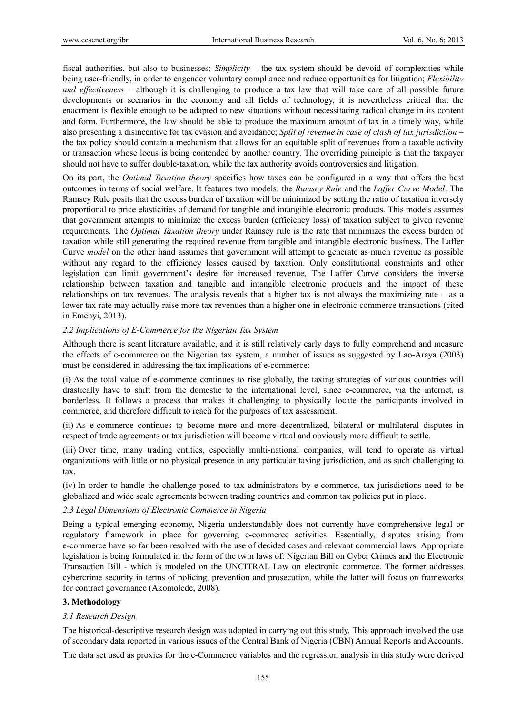fiscal authorities, but also to businesses; *Simplicity* – the tax system should be devoid of complexities while being user-friendly, in order to engender voluntary compliance and reduce opportunities for litigation; *Flexibility and effectiveness* – although it is challenging to produce a tax law that will take care of all possible future developments or scenarios in the economy and all fields of technology, it is nevertheless critical that the enactment is flexible enough to be adapted to new situations without necessitating radical change in its content and form. Furthermore, the law should be able to produce the maximum amount of tax in a timely way, while also presenting a disincentive for tax evasion and avoidance; *Split of revenue in case of clash of tax jurisdiction* – the tax policy should contain a mechanism that allows for an equitable split of revenues from a taxable activity or transaction whose locus is being contended by another country. The overriding principle is that the taxpayer should not have to suffer double-taxation, while the tax authority avoids controversies and litigation.

On its part, the *Optimal Taxation theory* specifies how taxes can be configured in a way that offers the best outcomes in terms of social welfare. It features two models: the *Ramsey Rule* and the *Laffer Curve Model*. The Ramsey Rule posits that the excess burden of taxation will be minimized by setting the ratio of taxation inversely proportional to price elasticities of demand for tangible and intangible electronic products. This models assumes that government attempts to minimize the excess burden (efficiency loss) of taxation subject to given revenue requirements. The *Optimal Taxation theory* under Ramsey rule is the rate that minimizes the excess burden of taxation while still generating the required revenue from tangible and intangible electronic business. The Laffer Curve *model* on the other hand assumes that government will attempt to generate as much revenue as possible without any regard to the efficiency losses caused by taxation. Only constitutional constraints and other legislation can limit government's desire for increased revenue. The Laffer Curve considers the inverse relationship between taxation and tangible and intangible electronic products and the impact of these relationships on tax revenues. The analysis reveals that a higher tax is not always the maximizing rate – as a lower tax rate may actually raise more tax revenues than a higher one in electronic commerce transactions (cited in Emenyi, 2013).

# *2.2 Implications of E-Commerce for the Nigerian Tax System*

Although there is scant literature available, and it is still relatively early days to fully comprehend and measure the effects of e-commerce on the Nigerian tax system, a number of issues as suggested by Lao-Araya (2003) must be considered in addressing the tax implications of e-commerce:

(i) As the total value of e-commerce continues to rise globally, the taxing strategies of various countries will drastically have to shift from the domestic to the international level, since e-commerce, via the internet, is borderless. It follows a process that makes it challenging to physically locate the participants involved in commerce, and therefore difficult to reach for the purposes of tax assessment.

(ii) As e-commerce continues to become more and more decentralized, bilateral or multilateral disputes in respect of trade agreements or tax jurisdiction will become virtual and obviously more difficult to settle.

(iii) Over time, many trading entities, especially multi-national companies, will tend to operate as virtual organizations with little or no physical presence in any particular taxing jurisdiction, and as such challenging to tax.

(iv) In order to handle the challenge posed to tax administrators by e-commerce, tax jurisdictions need to be globalized and wide scale agreements between trading countries and common tax policies put in place.

# *2.3 Legal Dimensions of Electronic Commerce in Nigeria*

Being a typical emerging economy, Nigeria understandably does not currently have comprehensive legal or regulatory framework in place for governing e-commerce activities. Essentially, disputes arising from e-commerce have so far been resolved with the use of decided cases and relevant commercial laws. Appropriate legislation is being formulated in the form of the twin laws of: Nigerian Bill on Cyber Crimes and the Electronic Transaction Bill - which is modeled on the UNCITRAL Law on electronic commerce. The former addresses cybercrime security in terms of policing, prevention and prosecution, while the latter will focus on frameworks for contract governance (Akomolede, 2008).

# **3. Methodology**

# *3.1 Research Design*

The historical-descriptive research design was adopted in carrying out this study. This approach involved the use of secondary data reported in various issues of the Central Bank of Nigeria (CBN) Annual Reports and Accounts.

The data set used as proxies for the e-Commerce variables and the regression analysis in this study were derived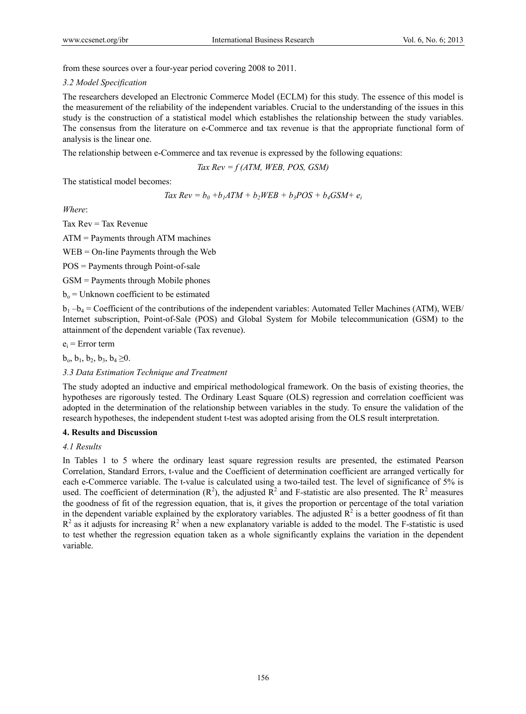from these sources over a four-year period covering 2008 to 2011.

#### *3.2 Model Specification*

The researchers developed an Electronic Commerce Model (ECLM) for this study. The essence of this model is the measurement of the reliability of the independent variables. Crucial to the understanding of the issues in this study is the construction of a statistical model which establishes the relationship between the study variables. The consensus from the literature on e-Commerce and tax revenue is that the appropriate functional form of analysis is the linear one.

The relationship between e-Commerce and tax revenue is expressed by the following equations:

*Tax Rev = f (ATM, WEB, POS, GSM)* 

The statistical model becomes:

$$
Tax Rev = b_0 + b_1 ATM + b_2WEB + b_3POS + b_4GSM + e_i
$$

*Where*:

Tax  $Rev = Tax$  Revenue

ATM = Payments through ATM machines

WEB = On-line Payments through the Web

POS = Payments through Point-of-sale

GSM = Payments through Mobile phones

 $b<sub>o</sub>$  = Unknown coefficient to be estimated

 $b_1 - b_4 =$  Coefficient of the contributions of the independent variables: Automated Teller Machines (ATM), WEB/ Internet subscription, Point-of-Sale (POS) and Global System for Mobile telecommunication (GSM) to the attainment of the dependent variable (Tax revenue).

 $e_i$  = Error term

 $b_0, b_1, b_2, b_3, b_4 \geq 0.$ 

# *3.3 Data Estimation Technique and Treatment*

The study adopted an inductive and empirical methodological framework. On the basis of existing theories, the hypotheses are rigorously tested. The Ordinary Least Square (OLS) regression and correlation coefficient was adopted in the determination of the relationship between variables in the study. To ensure the validation of the research hypotheses, the independent student t-test was adopted arising from the OLS result interpretation.

# **4. Results and Discussion**

# *4.1 Results*

In Tables 1 to 5 where the ordinary least square regression results are presented, the estimated Pearson Correlation, Standard Errors, t-value and the Coefficient of determination coefficient are arranged vertically for each e-Commerce variable. The t-value is calculated using a two-tailed test. The level of significance of 5% is used. The coefficient of determination  $(R^2)$ , the adjusted  $R^2$  and F-statistic are also presented. The  $R^2$  measures the goodness of fit of the regression equation, that is, it gives the proportion or percentage of the total variation in the dependent variable explained by the exploratory variables. The adjusted  $R^2$  is a better goodness of fit than  $R^2$  as it adjusts for increasing  $R^2$  when a new explanatory variable is added to the model. The F-statistic is used to test whether the regression equation taken as a whole significantly explains the variation in the dependent variable.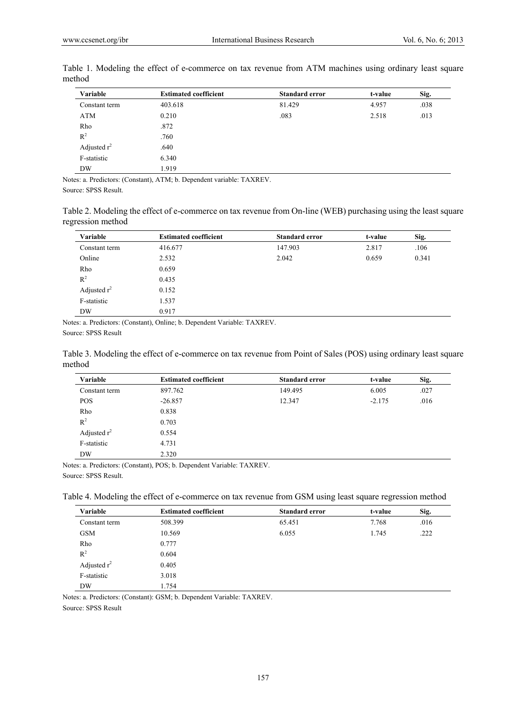| Variable       | <b>Estimated coefficient</b> | <b>Standard error</b> | t-value | Sig. |
|----------------|------------------------------|-----------------------|---------|------|
| Constant term  | 403.618                      | 81.429                | 4.957   | .038 |
| ATM            | 0.210                        | .083                  | 2.518   | .013 |
| Rho            | .872                         |                       |         |      |
| $R^2$          | .760                         |                       |         |      |
| Adjusted $r^2$ | .640                         |                       |         |      |
| F-statistic    | 6.340                        |                       |         |      |
| DW             | 1.919                        |                       |         |      |

Table 1. Modeling the effect of e-commerce on tax revenue from ATM machines using ordinary least square method

Notes: a. Predictors: (Constant), ATM; b. Dependent variable: TAXREV.

Source: SPSS Result.

Table 2. Modeling the effect of e-commerce on tax revenue from On-line (WEB) purchasing using the least square regression method

| Variable       | <b>Estimated coefficient</b> | <b>Standard error</b> | t-value | Sig.  |
|----------------|------------------------------|-----------------------|---------|-------|
| Constant term  | 416.677                      | 147.903               | 2.817   | .106  |
| Online         | 2.532                        | 2.042                 | 0.659   | 0.341 |
| Rho            | 0.659                        |                       |         |       |
| $R^2$          | 0.435                        |                       |         |       |
| Adjusted $r^2$ | 0.152                        |                       |         |       |
| F-statistic    | 1.537                        |                       |         |       |
| DW             | 0.917                        |                       |         |       |

Notes: a. Predictors: (Constant), Online; b. Dependent Variable: TAXREV.

Source: SPSS Result

Table 3. Modeling the effect of e-commerce on tax revenue from Point of Sales (POS) using ordinary least square method

| Variable       | <b>Estimated coefficient</b> | <b>Standard error</b> | t-value  | Sig. |
|----------------|------------------------------|-----------------------|----------|------|
| Constant term  | 897.762                      | 149.495               | 6.005    | .027 |
| <b>POS</b>     | $-26.857$                    | 12.347                | $-2.175$ | .016 |
| Rho            | 0.838                        |                       |          |      |
| $R^2$          | 0.703                        |                       |          |      |
| Adjusted $r^2$ | 0.554                        |                       |          |      |
| F-statistic    | 4.731                        |                       |          |      |
| <b>DW</b>      | 2.320                        |                       |          |      |

Notes: a. Predictors: (Constant), POS; b. Dependent Variable: TAXREV. Source: SPSS Result.

Table 4. Modeling the effect of e-commerce on tax revenue from GSM using least square regression method

| Variable       | <b>Estimated coefficient</b> | <b>Standard error</b> | t-value | Sig. |
|----------------|------------------------------|-----------------------|---------|------|
| Constant term  | 508.399                      | 65.451                | 7.768   | .016 |
| <b>GSM</b>     | 10.569                       | 6.055                 | 1.745   | .222 |
| Rho            | 0.777                        |                       |         |      |
| $R^2$          | 0.604                        |                       |         |      |
| Adjusted $r^2$ | 0.405                        |                       |         |      |
| F-statistic    | 3.018                        |                       |         |      |
| <b>DW</b>      | 1.754                        |                       |         |      |

Notes: a. Predictors: (Constant): GSM; b. Dependent Variable: TAXREV.

Source: SPSS Result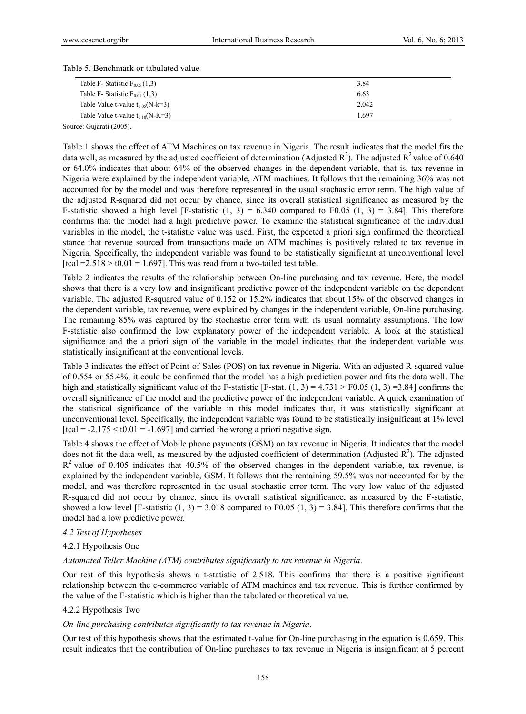Table 5. Benchmark or tabulated value

| Table F- Statistic $F_{0.05}(1,3)$     | 3.84  |
|----------------------------------------|-------|
| Table F- Statistic $F_{0.01}$ (1,3)    | 6.63  |
| Table Value t-value $t_{0.05}$ (N-k=3) | 2.042 |
| Table Value t-value $t_{0.10}$ (N-K=3) | 1.697 |

Source: Gujarati (2005).

Table 1 shows the effect of ATM Machines on tax revenue in Nigeria. The result indicates that the model fits the data well, as measured by the adjusted coefficient of determination (Adjusted  $R^2$ ). The adjusted  $R^2$  value of 0.640 or 64.0% indicates that about 64% of the observed changes in the dependent variable, that is, tax revenue in Nigeria were explained by the independent variable, ATM machines. It follows that the remaining 36% was not accounted for by the model and was therefore represented in the usual stochastic error term. The high value of the adjusted R-squared did not occur by chance, since its overall statistical significance as measured by the F-statistic showed a high level [F-statistic  $(1, 3) = 6.340$  compared to F0.05  $(1, 3) = 3.84$ ]. This therefore confirms that the model had a high predictive power. To examine the statistical significance of the individual variables in the model, the t-statistic value was used. First, the expected a priori sign confirmed the theoretical stance that revenue sourced from transactions made on ATM machines is positively related to tax revenue in Nigeria. Specifically, the independent variable was found to be statistically significant at unconventional level [tcal =  $2.518 > t0.01 = 1.697$ ]. This was read from a two-tailed test table.

Table 2 indicates the results of the relationship between On-line purchasing and tax revenue. Here, the model shows that there is a very low and insignificant predictive power of the independent variable on the dependent variable. The adjusted R-squared value of 0.152 or 15.2% indicates that about 15% of the observed changes in the dependent variable, tax revenue, were explained by changes in the independent variable, On-line purchasing. The remaining 85% was captured by the stochastic error term with its usual normality assumptions. The low F-statistic also confirmed the low explanatory power of the independent variable. A look at the statistical significance and the a priori sign of the variable in the model indicates that the independent variable was statistically insignificant at the conventional levels.

Table 3 indicates the effect of Point-of-Sales (POS) on tax revenue in Nigeria. With an adjusted R-squared value of 0.554 or 55.4%, it could be confirmed that the model has a high prediction power and fits the data well. The high and statistically significant value of the F-statistic [F-stat.  $(1, 3) = 4.731 > F0.05 (1, 3) = 3.84$ ] confirms the overall significance of the model and the predictive power of the independent variable. A quick examination of the statistical significance of the variable in this model indicates that, it was statistically significant at unconventional level. Specifically, the independent variable was found to be statistically insignificant at 1% level  $[tcal = -2.175 \leq t0.01 = -1.697]$  and carried the wrong a priori negative sign.

Table 4 shows the effect of Mobile phone payments (GSM) on tax revenue in Nigeria. It indicates that the model does not fit the data well, as measured by the adjusted coefficient of determination (Adjusted  $\mathbb{R}^2$ ). The adjusted  $R<sup>2</sup>$  value of 0.405 indicates that 40.5% of the observed changes in the dependent variable, tax revenue, is explained by the independent variable, GSM. It follows that the remaining 59.5% was not accounted for by the model, and was therefore represented in the usual stochastic error term. The very low value of the adjusted R-squared did not occur by chance, since its overall statistical significance, as measured by the F-statistic, showed a low level [F-statistic (1, 3) = 3.018 compared to F0.05 (1, 3) = 3.84]. This therefore confirms that the model had a low predictive power.

# *4.2 Test of Hypotheses*

# 4.2.1 Hypothesis One

#### *Automated Teller Machine (ATM) contributes significantly to tax revenue in Nigeria*.

Our test of this hypothesis shows a t-statistic of 2.518. This confirms that there is a positive significant relationship between the e-commerce variable of ATM machines and tax revenue. This is further confirmed by the value of the F-statistic which is higher than the tabulated or theoretical value.

#### 4.2.2 Hypothesis Two

#### *On-line purchasing contributes significantly to tax revenue in Nigeria*.

Our test of this hypothesis shows that the estimated t-value for On-line purchasing in the equation is 0.659. This result indicates that the contribution of On-line purchases to tax revenue in Nigeria is insignificant at 5 percent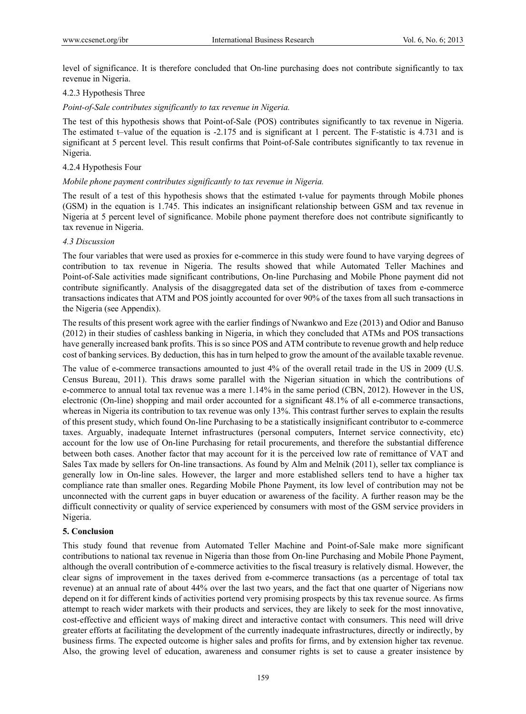level of significance. It is therefore concluded that On-line purchasing does not contribute significantly to tax revenue in Nigeria.

# 4.2.3 Hypothesis Three

*Point-of-Sale contributes significantly to tax revenue in Nigeria.* 

The test of this hypothesis shows that Point-of-Sale (POS) contributes significantly to tax revenue in Nigeria. The estimated t–value of the equation is -2.175 and is significant at 1 percent. The F-statistic is 4.731 and is significant at 5 percent level. This result confirms that Point-of-Sale contributes significantly to tax revenue in Nigeria.

# 4.2.4 Hypothesis Four

# *Mobile phone payment contributes significantly to tax revenue in Nigeria.*

The result of a test of this hypothesis shows that the estimated t-value for payments through Mobile phones (GSM) in the equation is 1.745. This indicates an insignificant relationship between GSM and tax revenue in Nigeria at 5 percent level of significance. Mobile phone payment therefore does not contribute significantly to tax revenue in Nigeria.

# *4.3 Discussion*

The four variables that were used as proxies for e-commerce in this study were found to have varying degrees of contribution to tax revenue in Nigeria. The results showed that while Automated Teller Machines and Point-of-Sale activities made significant contributions, On-line Purchasing and Mobile Phone payment did not contribute significantly. Analysis of the disaggregated data set of the distribution of taxes from e-commerce transactions indicates that ATM and POS jointly accounted for over 90% of the taxes from all such transactions in the Nigeria (see Appendix).

The results of this present work agree with the earlier findings of Nwankwo and Eze (2013) and Odior and Banuso (2012) in their studies of cashless banking in Nigeria, in which they concluded that ATMs and POS transactions have generally increased bank profits. This is so since POS and ATM contribute to revenue growth and help reduce cost of banking services. By deduction, this has in turn helped to grow the amount of the available taxable revenue.

The value of e-commerce transactions amounted to just 4% of the overall retail trade in the US in 2009 (U.S. Census Bureau, 2011). This draws some parallel with the Nigerian situation in which the contributions of e-commerce to annual total tax revenue was a mere 1.14% in the same period (CBN, 2012). However in the US, electronic (On-line) shopping and mail order accounted for a significant 48.1% of all e-commerce transactions, whereas in Nigeria its contribution to tax revenue was only 13%. This contrast further serves to explain the results of this present study, which found On-line Purchasing to be a statistically insignificant contributor to e-commerce taxes. Arguably, inadequate Internet infrastructures (personal computers, Internet service connectivity, etc) account for the low use of On-line Purchasing for retail procurements, and therefore the substantial difference between both cases. Another factor that may account for it is the perceived low rate of remittance of VAT and Sales Tax made by sellers for On-line transactions. As found by Alm and Melnik (2011), seller tax compliance is generally low in On-line sales. However, the larger and more established sellers tend to have a higher tax compliance rate than smaller ones. Regarding Mobile Phone Payment, its low level of contribution may not be unconnected with the current gaps in buyer education or awareness of the facility. A further reason may be the difficult connectivity or quality of service experienced by consumers with most of the GSM service providers in Nigeria.

# **5. Conclusion**

This study found that revenue from Automated Teller Machine and Point-of-Sale make more significant contributions to national tax revenue in Nigeria than those from On-line Purchasing and Mobile Phone Payment, although the overall contribution of e-commerce activities to the fiscal treasury is relatively dismal. However, the clear signs of improvement in the taxes derived from e-commerce transactions (as a percentage of total tax revenue) at an annual rate of about 44% over the last two years, and the fact that one quarter of Nigerians now depend on it for different kinds of activities portend very promising prospects by this tax revenue source. As firms attempt to reach wider markets with their products and services, they are likely to seek for the most innovative, cost-effective and efficient ways of making direct and interactive contact with consumers. This need will drive greater efforts at facilitating the development of the currently inadequate infrastructures, directly or indirectly, by business firms. The expected outcome is higher sales and profits for firms, and by extension higher tax revenue. Also, the growing level of education, awareness and consumer rights is set to cause a greater insistence by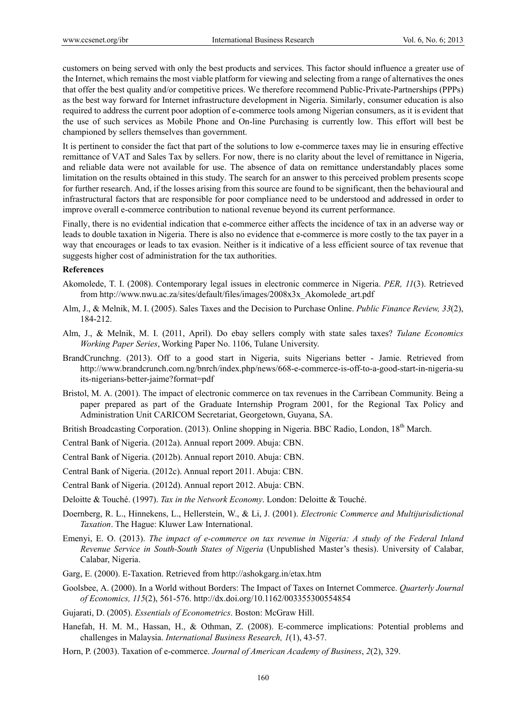customers on being served with only the best products and services. This factor should influence a greater use of the Internet, which remains the most viable platform for viewing and selecting from a range of alternatives the ones that offer the best quality and/or competitive prices. We therefore recommend Public-Private-Partnerships (PPPs) as the best way forward for Internet infrastructure development in Nigeria. Similarly, consumer education is also required to address the current poor adoption of e-commerce tools among Nigerian consumers, as it is evident that the use of such services as Mobile Phone and On-line Purchasing is currently low. This effort will best be championed by sellers themselves than government.

It is pertinent to consider the fact that part of the solutions to low e-commerce taxes may lie in ensuring effective remittance of VAT and Sales Tax by sellers. For now, there is no clarity about the level of remittance in Nigeria, and reliable data were not available for use. The absence of data on remittance understandably places some limitation on the results obtained in this study. The search for an answer to this perceived problem presents scope for further research. And, if the losses arising from this source are found to be significant, then the behavioural and infrastructural factors that are responsible for poor compliance need to be understood and addressed in order to improve overall e-commerce contribution to national revenue beyond its current performance.

Finally, there is no evidential indication that e-commerce either affects the incidence of tax in an adverse way or leads to double taxation in Nigeria. There is also no evidence that e-commerce is more costly to the tax payer in a way that encourages or leads to tax evasion. Neither is it indicative of a less efficient source of tax revenue that suggests higher cost of administration for the tax authorities.

#### **References**

- Akomolede, T. I. (2008). Contemporary legal issues in electronic commerce in Nigeria. *PER, 11*(3). Retrieved from http://www.nwu.ac.za/sites/default/files/images/2008x3x\_Akomolede\_art.pdf
- Alm, J., & Melnik, M. I. (2005). Sales Taxes and the Decision to Purchase Online. *Public Finance Review, 33*(2), 184-212.
- Alm, J., & Melnik, M. I. (2011, April). Do ebay sellers comply with state sales taxes? *Tulane Economics Working Paper Series*, Working Paper No. 1106, Tulane University.
- BrandCrunchng. (2013). Off to a good start in Nigeria, suits Nigerians better Jamie. Retrieved from http://www.brandcrunch.com.ng/bnrch/index.php/news/668-e-commerce-is-off-to-a-good-start-in-nigeria-su its-nigerians-better-jaime?format=pdf
- Bristol, M. A. (2001). The impact of electronic commerce on tax revenues in the Carribean Community. Being a paper prepared as part of the Graduate Internship Program 2001, for the Regional Tax Policy and Administration Unit CARICOM Secretariat, Georgetown, Guyana, SA.
- British Broadcasting Corporation. (2013). Online shopping in Nigeria. BBC Radio, London, 18<sup>th</sup> March.
- Central Bank of Nigeria. (2012a). Annual report 2009. Abuja: CBN.
- Central Bank of Nigeria. (2012b). Annual report 2010. Abuja: CBN.
- Central Bank of Nigeria. (2012c). Annual report 2011. Abuja: CBN.
- Central Bank of Nigeria. (2012d). Annual report 2012. Abuja: CBN.
- Deloitte & Touché. (1997). *Tax in the Network Economy*. London: Deloitte & Touché.
- Doernberg, R. L., Hinnekens, L., Hellerstein, W., & Li, J. (2001). *Electronic Commerce and Multijurisdictional Taxation*. The Hague: Kluwer Law International.
- Emenyi, E. O. (2013). *The impact of e-commerce on tax revenue in Nigeria: A study of the Federal Inland Revenue Service in South-South States of Nigeria* (Unpublished Master's thesis). University of Calabar, Calabar, Nigeria.
- Garg, E. (2000). E-Taxation. Retrieved from http://ashokgarg.in/etax.htm
- Goolsbee, A. (2000). In a World without Borders: The Impact of Taxes on Internet Commerce. *Quarterly Journal of Economics, 115*(2), 561-576. http://dx.doi.org/10.1162/003355300554854
- Gujarati, D. (2005). *Essentials of Econometrics*. Boston: McGraw Hill.
- Hanefah, H. M. M., Hassan, H., & Othman, Z. (2008). E-commerce implications: Potential problems and challenges in Malaysia. *International Business Research, 1*(1), 43-57.
- Horn, P. (2003). Taxation of e-commerce. *Journal of American Academy of Business*, *2*(2), 329.